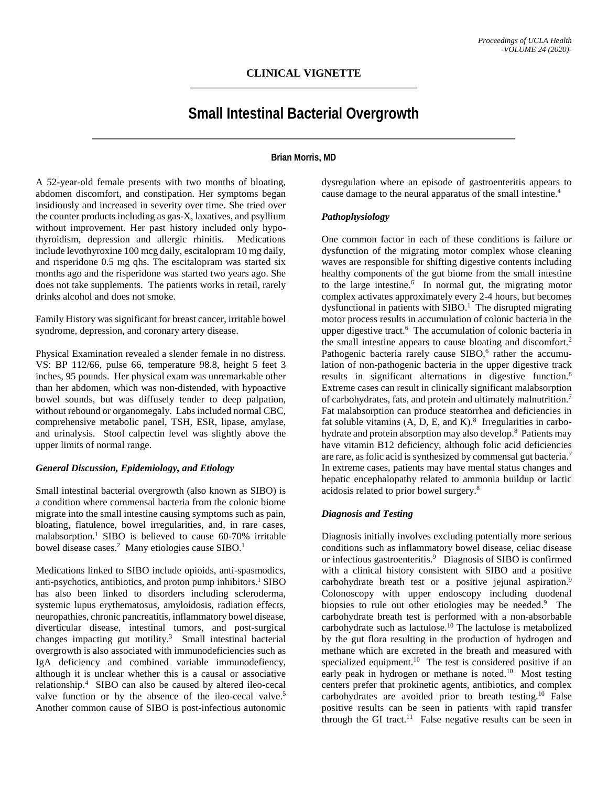# **Small Intestinal Bacterial Overgrowth**

# **Brian Morris, MD**

A 52-year-old female presents with two months of bloating, abdomen discomfort, and constipation. Her symptoms began insidiously and increased in severity over time. She tried over the counter products including as gas-X, laxatives, and psyllium without improvement. Her past history included only hypothyroidism, depression and allergic rhinitis. Medications include levothyroxine 100 mcg daily, escitalopram 10 mg daily, and risperidone 0.5 mg qhs. The escitalopram was started six months ago and the risperidone was started two years ago. She does not take supplements. The patients works in retail, rarely drinks alcohol and does not smoke.

Family History was significant for breast cancer, irritable bowel syndrome, depression, and coronary artery disease.

Physical Examination revealed a slender female in no distress. VS: BP 112/66, pulse 66, temperature 98.8, height 5 feet 3 inches, 95 pounds. Her physical exam was unremarkable other than her abdomen, which was non-distended, with hypoactive bowel sounds, but was diffusely tender to deep palpation, without rebound or organomegaly. Labs included normal CBC, comprehensive metabolic panel, TSH, ESR, lipase, amylase, and urinalysis. Stool calpectin level was slightly above the upper limits of normal range.

#### *General Discussion, Epidemiology, and Etiology*

Small intestinal bacterial overgrowth (also known as SIBO) is a condition where commensal bacteria from the colonic biome migrate into the small intestine causing symptoms such as pain, bloating, flatulence, bowel irregularities, and, in rare cases, malabsorption.<sup>1</sup> SIBO is believed to cause 60-70% irritable bowel disease cases.<sup>2</sup> Many etiologies cause SIBO.<sup>1</sup>

Medications linked to SIBO include opioids, anti-spasmodics, anti-psychotics, antibiotics, and proton pump inhibitors.<sup>1</sup> SIBO has also been linked to disorders including scleroderma, systemic lupus erythematosus, amyloidosis, radiation effects, neuropathies, chronic pancreatitis, inflammatory bowel disease, diverticular disease, intestinal tumors, and post-surgical changes impacting gut motility.<sup>3</sup> Small intestinal bacterial overgrowth is also associated with immunodeficiencies such as IgA deficiency and combined variable immunodefiency, although it is unclear whether this is a causal or associative relationship.4 SIBO can also be caused by altered ileo-cecal valve function or by the absence of the ileo-cecal valve.<sup>5</sup> Another common cause of SIBO is post-infectious autonomic

dysregulation where an episode of gastroenteritis appears to cause damage to the neural apparatus of the small intestine.4

#### *Pathophysiology*

One common factor in each of these conditions is failure or dysfunction of the migrating motor complex whose cleaning waves are responsible for shifting digestive contents including healthy components of the gut biome from the small intestine to the large intestine.<sup>6</sup> In normal gut, the migrating motor complex activates approximately every 2-4 hours, but becomes dysfunctional in patients with  $SIBO<sup>1</sup>$ . The disrupted migrating motor process results in accumulation of colonic bacteria in the upper digestive tract.<sup>6</sup> The accumulation of colonic bacteria in the small intestine appears to cause bloating and discomfort.<sup>2</sup> Pathogenic bacteria rarely cause  $SHBO<sub>o</sub><sup>6</sup>$  rather the accumulation of non-pathogenic bacteria in the upper digestive track results in significant alternations in digestive function.<sup>6</sup> Extreme cases can result in clinically significant malabsorption of carbohydrates, fats, and protein and ultimately malnutrition.<sup>7</sup> Fat malabsorption can produce steatorrhea and deficiencies in fat soluble vitamins  $(A, D, E, and K)$ .<sup>8</sup> Irregularities in carbohydrate and protein absorption may also develop.<sup>8</sup> Patients may have vitamin B12 deficiency, although folic acid deficiencies are rare, as folic acid is synthesized by commensal gut bacteria.<sup>7</sup> In extreme cases, patients may have mental status changes and hepatic encephalopathy related to ammonia buildup or lactic acidosis related to prior bowel surgery.8

#### *Diagnosis and Testing*

Diagnosis initially involves excluding potentially more serious conditions such as inflammatory bowel disease, celiac disease or infectious gastroenteritis.<sup>9</sup> Diagnosis of SIBO is confirmed with a clinical history consistent with SIBO and a positive carbohydrate breath test or a positive jejunal aspiration.<sup>9</sup> Colonoscopy with upper endoscopy including duodenal biopsies to rule out other etiologies may be needed.<sup>9</sup> The carbohydrate breath test is performed with a non-absorbable carbohydrate such as lactulose.10 The lactulose is metabolized by the gut flora resulting in the production of hydrogen and methane which are excreted in the breath and measured with specialized equipment.<sup>10</sup> The test is considered positive if an early peak in hydrogen or methane is noted.<sup>10</sup> Most testing centers prefer that prokinetic agents, antibiotics, and complex carbohydrates are avoided prior to breath testing.10 False positive results can be seen in patients with rapid transfer through the GI tract.<sup>11</sup> False negative results can be seen in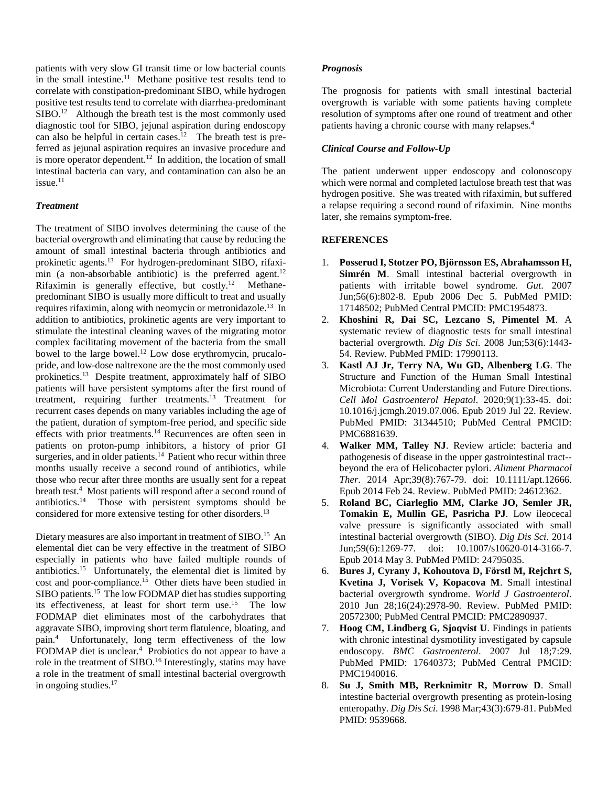patients with very slow GI transit time or low bacterial counts in the small intestine.<sup>11</sup> Methane positive test results tend to correlate with constipation-predominant SIBO, while hydrogen positive test results tend to correlate with diarrhea-predominant  $SIBO.<sup>12</sup>$  Although the breath test is the most commonly used diagnostic tool for SIBO, jejunal aspiration during endoscopy can also be helpful in certain cases.<sup>12</sup> The breath test is preferred as jejunal aspiration requires an invasive procedure and is more operator dependent.<sup>12</sup> In addition, the location of small intestinal bacteria can vary, and contamination can also be an  $i$ ssue.<sup>11</sup>

## *Treatment*

The treatment of SIBO involves determining the cause of the bacterial overgrowth and eliminating that cause by reducing the amount of small intestinal bacteria through antibiotics and prokinetic agents.13 For hydrogen-predominant SIBO, rifaximin (a non-absorbable antibiotic) is the preferred agent.<sup>12</sup> Rifaximin is generally effective, but  $costly.<sup>12</sup>$  Methanepredominant SIBO is usually more difficult to treat and usually requires rifaximin, along with neomycin or metronidazole.13 In addition to antibiotics, prokinetic agents are very important to stimulate the intestinal cleaning waves of the migrating motor complex facilitating movement of the bacteria from the small bowel to the large bowel.12 Low dose erythromycin, prucalopride, and low-dose naltrexone are the the most commonly used prokinetics.13 Despite treatment, approximately half of SIBO patients will have persistent symptoms after the first round of treatment, requiring further treatments.13 Treatment for recurrent cases depends on many variables including the age of the patient, duration of symptom-free period, and specific side effects with prior treatments.<sup>14</sup> Recurrences are often seen in patients on proton-pump inhibitors, a history of prior GI surgeries, and in older patients.<sup>14</sup> Patient who recur within three months usually receive a second round of antibiotics, while those who recur after three months are usually sent for a repeat breath test.<sup>4</sup> Most patients will respond after a second round of antibiotics.14 Those with persistent symptoms should be considered for more extensive testing for other disorders.13

Dietary measures are also important in treatment of SIBO.<sup>15</sup> An elemental diet can be very effective in the treatment of SIBO especially in patients who have failed multiple rounds of antibiotics.15 Unfortunately, the elemental diet is limited by cost and poor-compliance.<sup>15</sup> Other diets have been studied in SIBO patients.<sup>15</sup> The low FODMAP diet has studies supporting its effectiveness, at least for short term use.15 The low FODMAP diet eliminates most of the carbohydrates that aggravate SIBO, improving short term flatulence, bloating, and pain.4 Unfortunately, long term effectiveness of the low FODMAP diet is unclear.<sup>4</sup> Probiotics do not appear to have a role in the treatment of SIBO.<sup>16</sup> Interestingly, statins may have a role in the treatment of small intestinal bacterial overgrowth in ongoing studies.<sup>17</sup>

#### *Prognosis*

The prognosis for patients with small intestinal bacterial overgrowth is variable with some patients having complete resolution of symptoms after one round of treatment and other patients having a chronic course with many relapses.4

# *Clinical Course and Follow-Up*

The patient underwent upper endoscopy and colonoscopy which were normal and completed lactulose breath test that was hydrogen positive. She was treated with rifaximin, but suffered a relapse requiring a second round of rifaximin. Nine months later, she remains symptom-free.

## **REFERENCES**

- 1. **Posserud I, Stotzer PO, Björnsson ES, Abrahamsson H, Simrén M**. Small intestinal bacterial overgrowth in patients with irritable bowel syndrome. *Gut*. 2007 Jun;56(6):802-8. Epub 2006 Dec 5. PubMed PMID: 17148502; PubMed Central PMCID: PMC1954873.
- 2. **Khoshini R, Dai SC, Lezcano S, Pimentel M**. A systematic review of diagnostic tests for small intestinal bacterial overgrowth. *Dig Dis Sci*. 2008 Jun;53(6):1443- 54. Review. PubMed PMID: 17990113.
- 3. **Kastl AJ Jr, Terry NA, Wu GD, Albenberg LG**. The Structure and Function of the Human Small Intestinal Microbiota: Current Understanding and Future Directions. *Cell Mol Gastroenterol Hepatol*. 2020;9(1):33-45. doi: 10.1016/j.jcmgh.2019.07.006. Epub 2019 Jul 22. Review. PubMed PMID: 31344510; PubMed Central PMCID: PMC6881639.
- 4. **Walker MM, Talley NJ**. Review article: bacteria and pathogenesis of disease in the upper gastrointestinal tract- beyond the era of Helicobacter pylori. *Aliment Pharmacol Ther*. 2014 Apr;39(8):767-79. doi: 10.1111/apt.12666. Epub 2014 Feb 24. Review. PubMed PMID: 24612362.
- 5. **Roland BC, Ciarleglio MM, Clarke JO, Semler JR, Tomakin E, Mullin GE, Pasricha PJ**. Low ileocecal valve pressure is significantly associated with small intestinal bacterial overgrowth (SIBO). *Dig Dis Sci*. 2014 Jun;59(6):1269-77. doi: 10.1007/s10620-014-3166-7. Epub 2014 May 3. PubMed PMID: 24795035.
- 6. **Bures J, Cyrany J, Kohoutova D, Förstl M, Rejchrt S, Kvetina J, Vorisek V, Kopacova M**. Small intestinal bacterial overgrowth syndrome. *World J Gastroenterol*. 2010 Jun 28;16(24):2978-90. Review. PubMed PMID: 20572300; PubMed Central PMCID: PMC2890937.
- 7. **Hoog CM, Lindberg G, Sjoqvist U**. Findings in patients with chronic intestinal dysmotility investigated by capsule endoscopy. *BMC Gastroenterol*. 2007 Jul 18;7:29. PubMed PMID: 17640373; PubMed Central PMCID: PMC1940016.
- 8. **Su J, Smith MB, Rerknimitr R, Morrow D**. Small intestine bacterial overgrowth presenting as protein-losing enteropathy. *Dig Dis Sci*. 1998 Mar;43(3):679-81. PubMed PMID: 9539668.